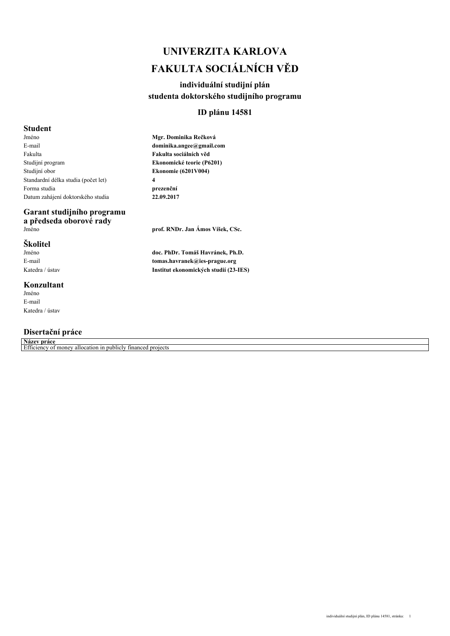# *UNIVERZITA KARLOVA FAKULTA SOCIÁLNÍCH VĚD*

# *individuální studijní plán studenta doktorského studijního programu*

### *ID plánu 14581*

# *Student*

*Jméno E-mail Fakulta Studijní program Studijní obor Standardní délka studia (počet let) Forma studia Datum zahájení doktorského studia*

# *Garant studijního programu a předseda oborové rady*

# *Školitel*

*Jméno E-mail Katedra / ústav*

### *Konzultant*

*Jméno E-mail Katedra / ústav*

# *Disertační práce*

*Název práce*

*Efficiency of money allocation in publicly financed projects*

*Mgr. Dominika Rečková dominika.angee@gmail.com Fakulta sociálních věd Ekonomické teorie (P6201) Ekonomie (6201V004) 4 prezenční 22.09.2017*

*Jméno prof. RNDr. Jan Ámos Víšek, CSc.*

*doc. PhDr. Tomáš Havránek, Ph.D. tomas.havranek@ies-prague.org Institut ekonomických studií (23-IES)*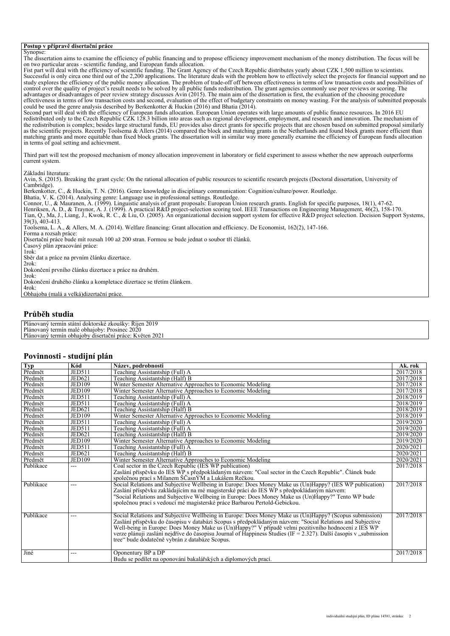#### *Postup v přípravě disertační práce*

*Synopse: The dissertation aims to examine the efficiency of public financing and to propose efficiency improvement mechanism of the money distribution. The focus will be on two particular areas - scientific funding, and European funds allocation. Fist part will deal with the efficiency of scientific funding. The Grant Agency of the Czech Republic distributes yearly about CZK 1,500 million to scientists. Successful is only circa one third out of the 2,200 applications. The literature deals with the problem how to effectively select the projects for financial support and no study explores the efficiency of the public money allocation. The problem of trade-off off between effectiveness in terms of low transaction costs and possibilities of control over the quality of project's result needs to be solved by all public funds redistribution. The grant agencies commonly use peer reviews or scoring. The advantages or disadvantages of peer review strategy discusses Avin (2015). The main aim of the dissertation is first, the evaluation of the choosing procedure effectiveness in terms of low transaction costs and second, evaluation of the effect of budgetary constraints on money wasting. For the analysis of submitted proposals could be used the genre analysis described by Berkenkotter & Huckin (2016) and Bhatia (2014). Second part will deal with the efficiency of European funds allocation. European Union operates with large amounts of public finance resources. In 2016 EU redistributed only to the Czech Republic CZK 128.3 billion into areas such as regional development, employment, and research and innovation. The mechanism of the redistribution is complex; besides large structural funds, EU provides also direct grants for specific projects that are chosen based on submitted proposal similarly* as the scientific projects. Recently Toolsema & Allers (2014) compared the block and matching grants in the Netherlands and found block grants more efficient than<br>matching grants and more equitable than fixed block grants. *in terms of goal setting and achievment. Third part will test the proposed mechanism of money allocation improvement in laboratory or field experiment to assess whether the new approach outperforms current system. Základní literatura: Avin, S. (2015). Breaking the grant cycle: On the rational allocation of public resources to scientific research projects (Doctoral dissertation, University of Cambridge). Berkenkotter, C., & Huckin, T. N. (2016). Genre knowledge in disciplinary communication: Cognition/culture/power. Routledge. Bhatia, V. K. (2014). Analysing genre: Language use in professional settings. Routledge. Connor, U., & Mauranen, A. (1999). Linguistic analysis of grant proposals: European Union research grants. English for specific purposes, 18(1), 47-62. Henriksen, A. D., & Traynor, A. J. (1999). A practical R&D project-selection scoring tool. IEEE Transactions on Engineering Management, 46(2), 158-170. Tian, Q., Ma, J., Liang, J., Kwok, R. C., & Liu, O. (2005). An organizational decision support system for effective R&D project selection. Decision Support Systems, 39(3), 403-413. Toolsema, L. A., & Allers, M. A. (2014). Welfare financing: Grant allocation and efficiency. De Economist, 162(2), 147-166. Forma a rozsah práce: Disertační práce bude mít rozsah 100 až 200 stran. Formou se bude jednat o soubor tří článků. Časový plán zpracování práce: 1rok: Sběr dat a práce na prvním článku dizertace. 2rok: Dokončení prvního článku dizertace a práce na druhém. 3rok: Dokončení druhého článku a kompletace dizertace se třetím článkem. 4rok: Obhajoba (malá a velká)dizertační práce.*

### *Průběh studia*

*Plánovaný termín státní doktorské zkoušky: Říjen 2019 Plánovaný termín malé obhajoby: Prosinec 2020 Plánovaný termín obhajoby disertační práce: Květen 2021*

#### *Povinnosti - studijní plán*

| Typ       | Kód           | Název, podrobnosti                                                                                                | Ak. rok   |
|-----------|---------------|-------------------------------------------------------------------------------------------------------------------|-----------|
| Předmět   | <b>JED511</b> | Teaching Assistantship (Full) A                                                                                   | 2017/2018 |
| Předmět   | JED621        | Teaching Assistantship (Half) B                                                                                   | 2017/2018 |
| Předmět   | <b>JED109</b> | Winter Semester Alternative Approaches to Economic Modeling                                                       | 2017/2018 |
| Předmět   | <b>JED109</b> | Winter Semester Alternative Approaches to Economic Modeling                                                       | 2017/2018 |
| Předmět   | <b>JED511</b> | Teaching Assistantship (Full) A                                                                                   | 2018/2019 |
| Předmět   | JED511        | Teaching Assistantship (Full) A                                                                                   | 2018/2019 |
| Předmět   | <b>JED621</b> | Teaching Assistantship (Half) B                                                                                   | 2018/2019 |
| Předmět   | <b>JED109</b> | Winter Semester Alternative Approaches to Economic Modeling                                                       | 2018/2019 |
| Předmět   | <b>JED511</b> | Teaching Assistantship (Full) A                                                                                   | 2019/2020 |
| Předmět   | <b>JED511</b> | Teaching Assistantship (Full) A                                                                                   | 2019/2020 |
| Předmět   | <b>JED621</b> | Teaching Assistantship (Half) B                                                                                   | 2019/2020 |
| Předmět   | <b>JED109</b> | Winter Semester Alternative Approaches to Economic Modeling                                                       | 2019/2020 |
| Předmět   | <b>JED511</b> | Teaching Assistantship (Full) A                                                                                   | 2020/2021 |
| Předmět   | JED621        | Teaching Assistantship (Half) B                                                                                   | 2020/2021 |
| Předmět   | <b>JED109</b> | Winter Semester Alternative Approaches to Economic Modeling                                                       | 2020/2021 |
| Publikace | ---           | Coal sector in the Czech Republic (IES WP publication)                                                            | 2017/2018 |
|           |               | Zaslání příspěvku do IES WP s předpokládaným názvem: "Coal sector in the Czech Republic". Článek bude             |           |
|           |               | společnou prací s Milanem ŠČasnÝM a Lukášem Rečkou.                                                               |           |
| Publikace | ---           | Social Relations and Subjective Wellbeing in Europe: Does Money Make us (Un)Happy? (IES WP publication)           | 2017/2018 |
|           |               | Zaslání příspěvku zakládajícím na mé magisterské práci do IES WP s předpokládaným názvem:                         |           |
|           |               | "Social Relations and Subjective Wellbeing in Europe: Does Money Make us (Un)Happy?" Tento WP bude                |           |
|           |               | společnou prací s vedoucí mé magisterské práce Barbarou Pertold-Gebickou.                                         |           |
|           |               |                                                                                                                   |           |
| Publikace | ---           | Social Relations and Subjective Wellbeing in Europe: Does Money Make us (Un)Happy? (Scopus submission)            | 2017/2018 |
|           |               | Zaslání příspěvku do časopisu v databázi Scopus s předpokládaným názvem: "Social Relations and Subjective         |           |
|           |               | Well-being in Europe: Does Money Make us (Un)Happy?" V případě velmi pozitivního hodnocení z IES WP               |           |
|           |               | verze plánuji zaslání nejdříve do časopisu Journal of Happiness Studies (IF = 2.327). Další časopis v "submission |           |
|           |               | tree" bude dodatečně vybrán z databáze Scopus.                                                                    |           |
|           |               |                                                                                                                   |           |
| Jiné      | ---           | Oponentury BP a DP                                                                                                | 2017/2018 |
|           |               | Budu se podílet na oponování bakalářských a diplomových prací.                                                    |           |